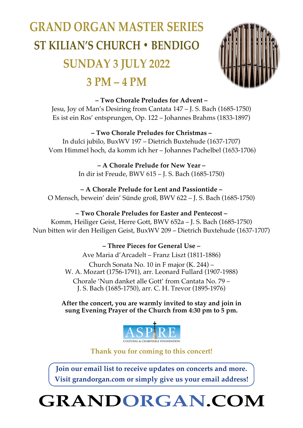## **GRAND ORGAN MASTER SERIES ST KILIAN'S CHURCH • BENDIGO SUNDAY 3 JULY 2022 3 PM – 4 PM**



#### **– Two Chorale Preludes for Advent –**

Jesu, Joy of Man's Desiring from Cantata 147 – J. S. Bach (1685-1750) Es ist ein Ros' entsprungen, Op. 122 – Johannes Brahms (1833-1897)

#### **– Two Chorale Preludes for Christmas –**

In dulci jubilo, BuxWV 197 – Dietrich Buxtehude (1637-1707) Vom Himmel hoch, da komm ich her – Johannes Pachelbel (1653-1706)

> **– A Chorale Prelude for New Year –** In dir ist Freude, BWV 615 – J. S. Bach (1685-1750)

**– A Chorale Prelude for Lent and Passiontide –** O Mensch, bewein' dein' Sünde groß, BWV 622 – J. S. Bach (1685-1750)

#### **– Two Chorale Preludes for Easter and Pentecost –**

Komm, Heiliger Geist, Herre Gott, BWV 652a – J. S. Bach (1685-1750) Nun bitten wir den Heiligen Geist, BuxWV 209 – Dietrich Buxtehude (1637-1707)

> **– Three Pieces for General Use –** Ave Maria d'Arcadelt – Franz Liszt (1811-1886) Church Sonata No. 10 in F major (K. 244) – W. A. Mozart (1756-1791), arr. Leonard Fullard (1907-1988) Chorale 'Nun danket alle Gott' from Cantata No. 79 – J. S. Bach (1685-1750), arr. C. H. Trevor (1895-1976)

**After the concert, you are warmly invited to stay and join in sung Evening Prayer of the Church from 4:30 pm to 5 pm.**



**Thank you for coming to this concert!**

**Join our email list to receive updates on concerts and more. Visit grandorgan.com or simply give us your email address!**

**GRANDORGAN.COM**